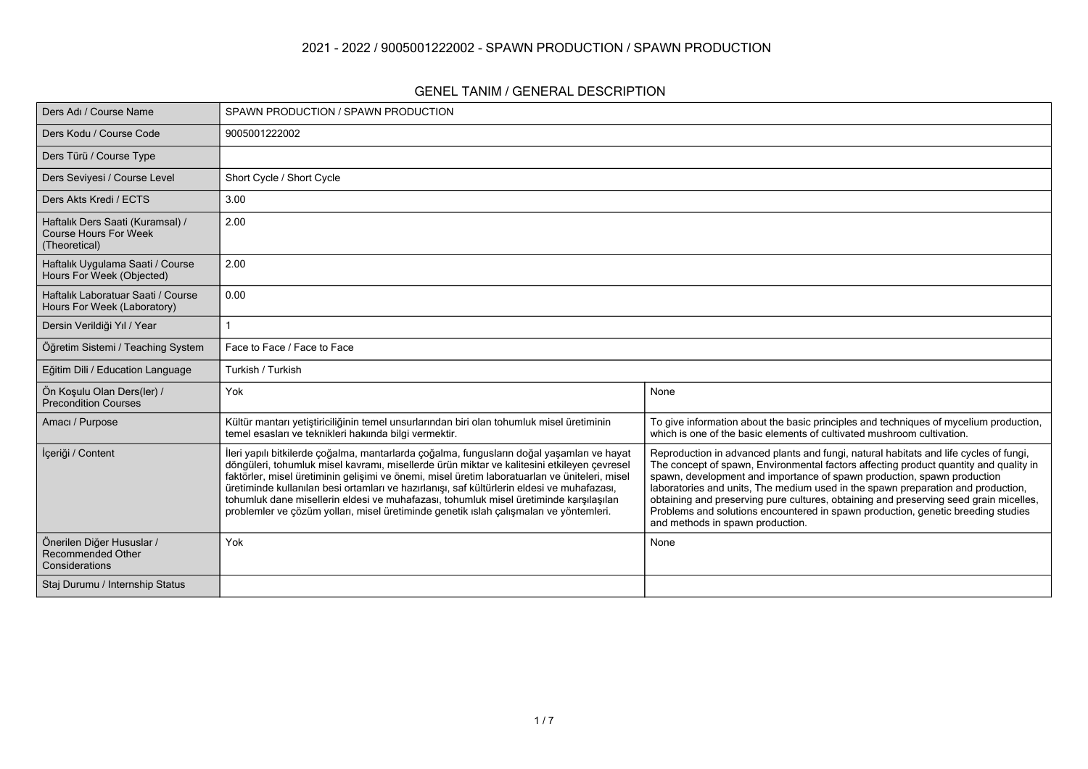#### **2021 - 2022 / 9005001222002 - SPAWN PRODUCTION / SPAWN PRODUCTION**

#### **GENEL TANIM / GENERAL DESCRIPTION**

| Ders Adı / Course Name                                                            | SPAWN PRODUCTION / SPAWN PRODUCTION                                                                                                                                                                                                                                                                                                                                                                                                                                                                                                                                         |                                                                                                                                                                                                                                                                                                                                                                                                                                                                                                                                                                |  |  |  |  |  |
|-----------------------------------------------------------------------------------|-----------------------------------------------------------------------------------------------------------------------------------------------------------------------------------------------------------------------------------------------------------------------------------------------------------------------------------------------------------------------------------------------------------------------------------------------------------------------------------------------------------------------------------------------------------------------------|----------------------------------------------------------------------------------------------------------------------------------------------------------------------------------------------------------------------------------------------------------------------------------------------------------------------------------------------------------------------------------------------------------------------------------------------------------------------------------------------------------------------------------------------------------------|--|--|--|--|--|
| Ders Kodu / Course Code                                                           | 9005001222002                                                                                                                                                                                                                                                                                                                                                                                                                                                                                                                                                               |                                                                                                                                                                                                                                                                                                                                                                                                                                                                                                                                                                |  |  |  |  |  |
| Ders Türü / Course Type                                                           |                                                                                                                                                                                                                                                                                                                                                                                                                                                                                                                                                                             |                                                                                                                                                                                                                                                                                                                                                                                                                                                                                                                                                                |  |  |  |  |  |
| Ders Seviyesi / Course Level                                                      | Short Cycle / Short Cycle                                                                                                                                                                                                                                                                                                                                                                                                                                                                                                                                                   |                                                                                                                                                                                                                                                                                                                                                                                                                                                                                                                                                                |  |  |  |  |  |
| Ders Akts Kredi / ECTS                                                            | 3.00                                                                                                                                                                                                                                                                                                                                                                                                                                                                                                                                                                        |                                                                                                                                                                                                                                                                                                                                                                                                                                                                                                                                                                |  |  |  |  |  |
| Haftalık Ders Saati (Kuramsal) /<br><b>Course Hours For Week</b><br>(Theoretical) | 2.00                                                                                                                                                                                                                                                                                                                                                                                                                                                                                                                                                                        |                                                                                                                                                                                                                                                                                                                                                                                                                                                                                                                                                                |  |  |  |  |  |
| Haftalık Uygulama Saati / Course<br>Hours For Week (Objected)                     | 2.00                                                                                                                                                                                                                                                                                                                                                                                                                                                                                                                                                                        |                                                                                                                                                                                                                                                                                                                                                                                                                                                                                                                                                                |  |  |  |  |  |
| Haftalık Laboratuar Saati / Course<br>Hours For Week (Laboratory)                 | 0.00                                                                                                                                                                                                                                                                                                                                                                                                                                                                                                                                                                        |                                                                                                                                                                                                                                                                                                                                                                                                                                                                                                                                                                |  |  |  |  |  |
| Dersin Verildiği Yıl / Year                                                       |                                                                                                                                                                                                                                                                                                                                                                                                                                                                                                                                                                             |                                                                                                                                                                                                                                                                                                                                                                                                                                                                                                                                                                |  |  |  |  |  |
| Öğretim Sistemi / Teaching System                                                 | Face to Face / Face to Face                                                                                                                                                                                                                                                                                                                                                                                                                                                                                                                                                 |                                                                                                                                                                                                                                                                                                                                                                                                                                                                                                                                                                |  |  |  |  |  |
| Eğitim Dili / Education Language                                                  | Turkish / Turkish                                                                                                                                                                                                                                                                                                                                                                                                                                                                                                                                                           |                                                                                                                                                                                                                                                                                                                                                                                                                                                                                                                                                                |  |  |  |  |  |
| Ön Koşulu Olan Ders(ler) /<br><b>Precondition Courses</b>                         | Yok                                                                                                                                                                                                                                                                                                                                                                                                                                                                                                                                                                         | None                                                                                                                                                                                                                                                                                                                                                                                                                                                                                                                                                           |  |  |  |  |  |
| Amacı / Purpose                                                                   | Kültür mantarı yetiştiriciliğinin temel unsurlarından biri olan tohumluk misel üretiminin<br>temel esasları ve teknikleri hakıında bilgi vermektir.                                                                                                                                                                                                                                                                                                                                                                                                                         | To give information about the basic principles and techniques of mycelium production,<br>which is one of the basic elements of cultivated mushroom cultivation.                                                                                                                                                                                                                                                                                                                                                                                                |  |  |  |  |  |
| İçeriği / Content                                                                 | İleri yapılı bitkilerde çoğalma, mantarlarda çoğalma, fungusların doğal yaşamları ve hayat<br>döngüleri, tohumluk misel kavramı, misellerde ürün miktar ve kalitesini etkileyen çevresel<br>faktörler, misel üretiminin gelişimi ve önemi, misel üretim laboratuarları ve üniteleri, misel<br>üretiminde kullanılan besi ortamları ve hazırlanışı, saf kültürlerin eldesi ve muhafazası,<br>tohumluk dane misellerin eldesi ve muhafazası, tohumluk misel üretiminde karşılaşılan<br>problemler ve çözüm yolları, misel üretiminde genetik ıslah çalışmaları ve yöntemleri. | Reproduction in advanced plants and fungi, natural habitats and life cycles of fungi,<br>The concept of spawn, Environmental factors affecting product quantity and quality in<br>spawn, development and importance of spawn production, spawn production<br>laboratories and units, The medium used in the spawn preparation and production,<br>obtaining and preserving pure cultures, obtaining and preserving seed grain micelles,<br>Problems and solutions encountered in spawn production, genetic breeding studies<br>and methods in spawn production. |  |  |  |  |  |
| Önerilen Diğer Hususlar /<br><b>Recommended Other</b><br>Considerations           | Yok                                                                                                                                                                                                                                                                                                                                                                                                                                                                                                                                                                         | None                                                                                                                                                                                                                                                                                                                                                                                                                                                                                                                                                           |  |  |  |  |  |
| Staj Durumu / Internship Status                                                   |                                                                                                                                                                                                                                                                                                                                                                                                                                                                                                                                                                             |                                                                                                                                                                                                                                                                                                                                                                                                                                                                                                                                                                |  |  |  |  |  |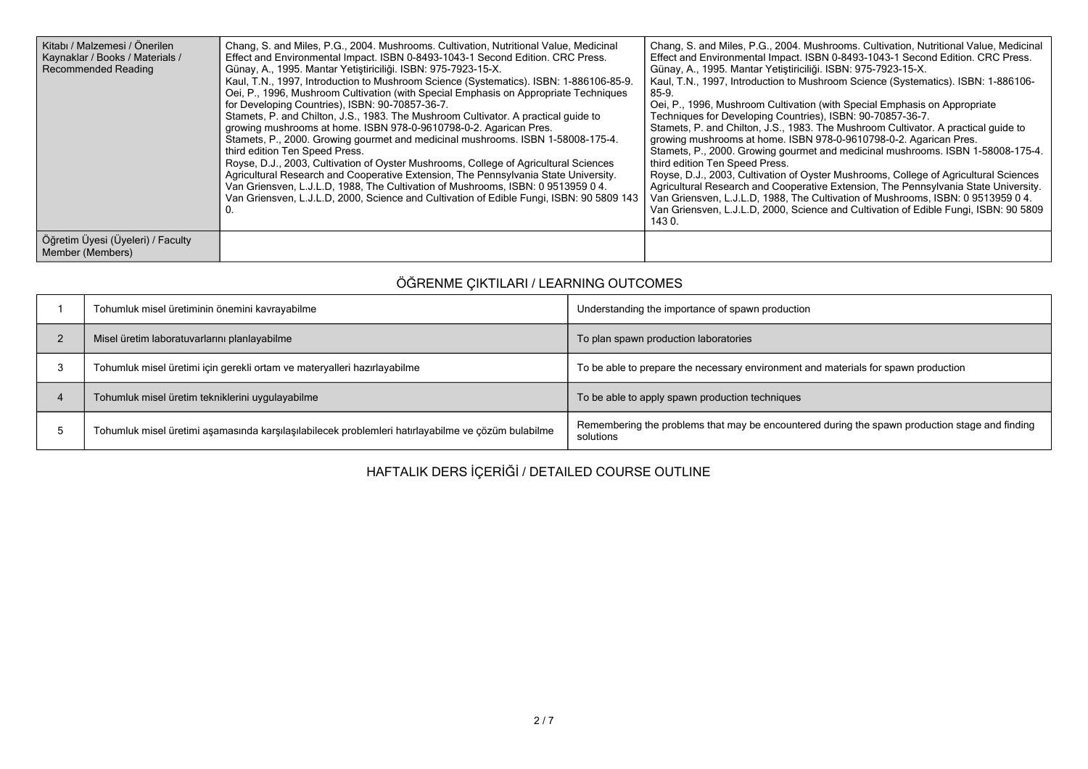| Kitabı / Malzemesi / Önerilen<br>Kaynaklar / Books / Materials /<br><b>Recommended Reading</b> | Chang, S. and Miles, P.G., 2004. Mushrooms. Cultivation, Nutritional Value, Medicinal<br>Effect and Environmental Impact. ISBN 0-8493-1043-1 Second Edition. CRC Press.<br>Günay, A., 1995. Mantar Yetiştiriciliği. ISBN: 975-7923-15-X.<br>Kaul, T.N., 1997, Introduction to Mushroom Science (Systematics). ISBN: 1-886106-85-9.<br>Oei, P., 1996, Mushroom Cultivation (with Special Emphasis on Appropriate Techniques<br>for Developing Countries), ISBN: 90-70857-36-7.<br>Stamets, P. and Chilton, J.S., 1983. The Mushroom Cultivator. A practical quide to<br>growing mushrooms at home. ISBN 978-0-9610798-0-2. Agarican Pres.<br>Stamets, P., 2000. Growing gourmet and medicinal mushrooms. ISBN 1-58008-175-4.<br>third edition Ten Speed Press.<br>Royse, D.J., 2003, Cultivation of Oyster Mushrooms, College of Agricultural Sciences<br>Agricultural Research and Cooperative Extension, The Pennsylvania State University.<br>Van Griensven, L.J.L.D. 1988, The Cultivation of Mushrooms, ISBN: 0951395904.<br>Van Griensven, L.J.L.D, 2000, Science and Cultivation of Edible Fungi, ISBN: 90 5809 143 | Chang, S. and Miles, P.G., 2004. Mushrooms. Cultivation, Nutritional Value, Medicinal<br>Effect and Environmental Impact. ISBN 0-8493-1043-1 Second Edition. CRC Press.<br>Günay, A., 1995. Mantar Yetiştiriciliği. ISBN: 975-7923-15-X.<br>Kaul, T.N., 1997, Introduction to Mushroom Science (Systematics). ISBN: 1-886106-<br>85-9.<br>Oei, P., 1996, Mushroom Cultivation (with Special Emphasis on Appropriate<br>Techniques for Developing Countries), ISBN: 90-70857-36-7.<br>Stamets, P. and Chilton, J.S., 1983. The Mushroom Cultivator. A practical quide to<br>growing mushrooms at home. ISBN 978-0-9610798-0-2. Agarican Pres.<br>Stamets, P., 2000. Growing gourmet and medicinal mushrooms. ISBN 1-58008-175-4.<br>third edition Ten Speed Press.<br>Royse, D.J., 2003, Cultivation of Oyster Mushrooms, College of Agricultural Sciences<br>Agricultural Research and Cooperative Extension, The Pennsylvania State University.<br>Van Griensven, L.J.L.D. 1988. The Cultivation of Mushrooms, ISBN: 0951395904.<br>Van Griensven, L.J.L.D. 2000. Science and Cultivation of Edible Fungi, ISBN: 90 5809<br>143 0. |
|------------------------------------------------------------------------------------------------|---------------------------------------------------------------------------------------------------------------------------------------------------------------------------------------------------------------------------------------------------------------------------------------------------------------------------------------------------------------------------------------------------------------------------------------------------------------------------------------------------------------------------------------------------------------------------------------------------------------------------------------------------------------------------------------------------------------------------------------------------------------------------------------------------------------------------------------------------------------------------------------------------------------------------------------------------------------------------------------------------------------------------------------------------------------------------------------------------------------------------|-------------------------------------------------------------------------------------------------------------------------------------------------------------------------------------------------------------------------------------------------------------------------------------------------------------------------------------------------------------------------------------------------------------------------------------------------------------------------------------------------------------------------------------------------------------------------------------------------------------------------------------------------------------------------------------------------------------------------------------------------------------------------------------------------------------------------------------------------------------------------------------------------------------------------------------------------------------------------------------------------------------------------------------------------------------------------------------------------------------------------------------|
| Öğretim Üyesi (Üyeleri) / Faculty<br>Member (Members)                                          |                                                                                                                                                                                                                                                                                                                                                                                                                                                                                                                                                                                                                                                                                                                                                                                                                                                                                                                                                                                                                                                                                                                           |                                                                                                                                                                                                                                                                                                                                                                                                                                                                                                                                                                                                                                                                                                                                                                                                                                                                                                                                                                                                                                                                                                                                     |

# **ÖĞRENME ÇIKTILARI / LEARNING OUTCOMES**

| Tohumluk misel üretiminin önemini kavrayabilme                                                     | Understanding the importance of spawn production                                                            |
|----------------------------------------------------------------------------------------------------|-------------------------------------------------------------------------------------------------------------|
| Misel üretim laboratuvarlarını planlayabilme                                                       | To plan spawn production laboratories                                                                       |
| Tohumluk misel üretimi için gerekli ortam ve materyalleri hazırlayabilme                           | To be able to prepare the necessary environment and materials for spawn production                          |
| Tohumluk misel üretim tekniklerini uygulayabilme                                                   | To be able to apply spawn production techniques                                                             |
| Tohumluk misel üretimi aşamasında karşılaşılabilecek problemleri hatırlayabilme ve çözüm bulabilme | Remembering the problems that may be encountered during the spawn production stage and finding<br>solutions |

## **HAFTALIK DERS İÇERİĞİ / DETAILED COURSE OUTLINE**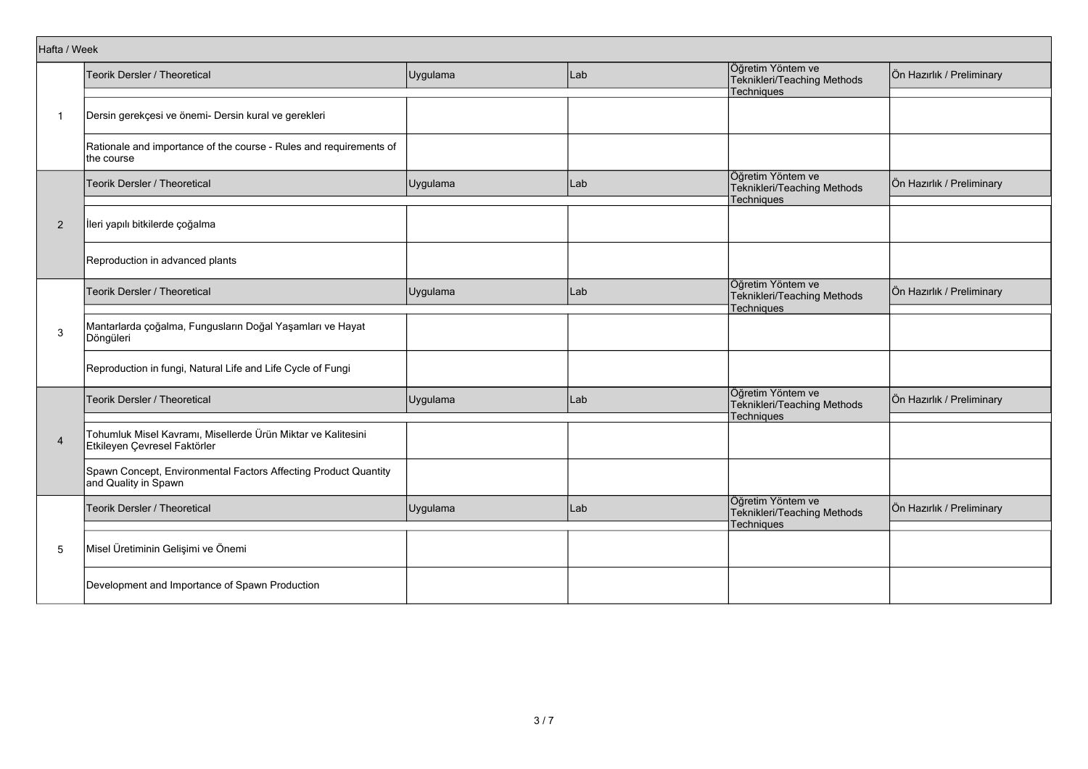|                | Hafta / Week                                                                                 |          |       |                                                                       |                           |  |  |
|----------------|----------------------------------------------------------------------------------------------|----------|-------|-----------------------------------------------------------------------|---------------------------|--|--|
|                | Teorik Dersler / Theoretical                                                                 | Uygulama | Lab   | Öğretim Yöntem ve<br>Teknikleri/Teaching Methods                      | Ön Hazırlık / Preliminary |  |  |
|                |                                                                                              |          |       | Techniques                                                            |                           |  |  |
| 1              | Dersin gerekçesi ve önemi- Dersin kural ve gerekleri                                         |          |       |                                                                       |                           |  |  |
|                | Rationale and importance of the course - Rules and requirements of<br>the course             |          |       |                                                                       |                           |  |  |
|                | Teorik Dersler / Theoretical                                                                 | Uygulama | l Lab | Öğretim Yöntem ve<br>Teknikleri/Teaching Methods<br>Techniques        | Ön Hazırlık / Preliminary |  |  |
|                |                                                                                              |          |       |                                                                       |                           |  |  |
| $\overline{2}$ | İleri yapılı bitkilerde çoğalma                                                              |          |       |                                                                       |                           |  |  |
|                | Reproduction in advanced plants                                                              |          |       |                                                                       |                           |  |  |
|                | Teorik Dersler / Theoretical                                                                 | Uygulama | Lab   | Öğretim Yöntem ve<br>Teknikleri/Teaching Methods<br>Techniques        | Ön Hazırlık / Preliminary |  |  |
| 3              | Mantarlarda çoğalma, Fungusların Doğal Yaşamları ve Hayat<br>Döngüleri                       |          |       |                                                                       |                           |  |  |
|                | Reproduction in fungi, Natural Life and Life Cycle of Fungi                                  |          |       |                                                                       |                           |  |  |
|                | Teorik Dersler / Theoretical                                                                 | Uygulama | Lab   | Öğretim Yöntem ve<br>Teknikleri/Teaching Methods<br><b>Techniques</b> | Ön Hazırlık / Preliminary |  |  |
| $\overline{4}$ | Tohumluk Misel Kavramı, Misellerde Ürün Miktar ve Kalitesini<br>Etkileyen Çevresel Faktörler |          |       |                                                                       |                           |  |  |
|                | Spawn Concept, Environmental Factors Affecting Product Quantity<br>and Quality in Spawn      |          |       |                                                                       |                           |  |  |
|                | Teorik Dersler / Theoretical                                                                 | Uygulama | Lab   | Öğretim Yöntem ve<br>Teknikleri/Teaching Methods<br>Techniques        | Ön Hazırlık / Preliminary |  |  |
| 5              | Misel Üretiminin Gelişimi ve Önemi                                                           |          |       |                                                                       |                           |  |  |
|                | Development and Importance of Spawn Production                                               |          |       |                                                                       |                           |  |  |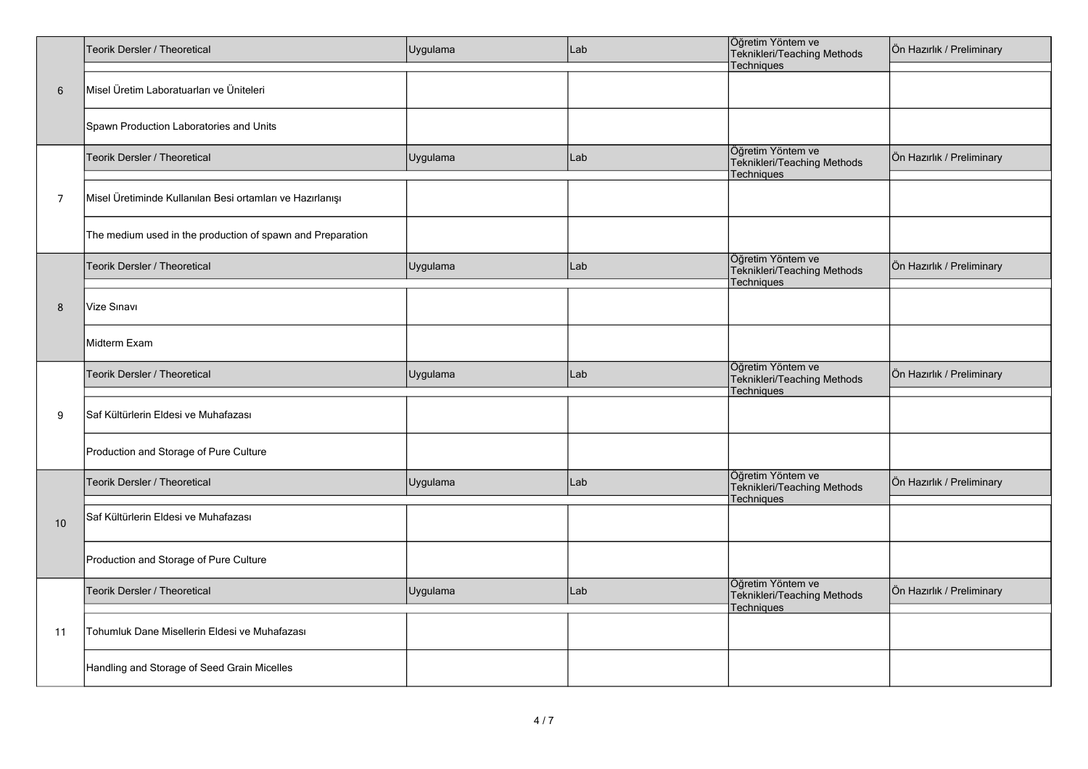|                 | Teorik Dersler / Theoretical                               | Uygulama | Lab | Öğretim Yöntem ve<br>Teknikleri/Teaching Methods<br>Techniques        | Ön Hazırlık / Preliminary |
|-----------------|------------------------------------------------------------|----------|-----|-----------------------------------------------------------------------|---------------------------|
| $6\phantom{1}6$ | Misel Üretim Laboratuarları ve Üniteleri                   |          |     |                                                                       |                           |
|                 | Spawn Production Laboratories and Units                    |          |     |                                                                       |                           |
|                 | Teorik Dersler / Theoretical                               | Uygulama | Lab | Öğretim Yöntem ve<br>Teknikleri/Teaching Methods<br>Techniques        | Ön Hazırlık / Preliminary |
| $\overline{7}$  | Misel Üretiminde Kullanılan Besi ortamları ve Hazırlanışı  |          |     |                                                                       |                           |
|                 | The medium used in the production of spawn and Preparation |          |     |                                                                       |                           |
|                 | Teorik Dersler / Theoretical                               | Uygulama | Lab | Öğretim Yöntem ve<br>Teknikleri/Teaching Methods<br>Techniques        | Ön Hazırlık / Preliminary |
| 8               | Vize Sınavı                                                |          |     |                                                                       |                           |
|                 | Midterm Exam                                               |          |     |                                                                       |                           |
|                 | Teorik Dersler / Theoretical                               | Uygulama | Lab | Öğretim Yöntem ve<br>Teknikleri/Teaching Methods<br><b>Techniques</b> | Ön Hazırlık / Preliminary |
| 9               | Saf Kültürlerin Eldesi ve Muhafazası                       |          |     |                                                                       |                           |
|                 | Production and Storage of Pure Culture                     |          |     |                                                                       |                           |
|                 | Teorik Dersler / Theoretical                               | Uygulama | Lab | Öğretim Yöntem ve<br>Teknikleri/Teaching Methods<br>Techniques        | Ön Hazırlık / Preliminary |
| 10              | Saf Kültürlerin Eldesi ve Muhafazası                       |          |     |                                                                       |                           |
|                 | Production and Storage of Pure Culture                     |          |     |                                                                       |                           |
| 11              | Teorik Dersler / Theoretical                               | Uygulama | Lab | Öğretim Yöntem ve<br>Teknikleri/Teaching Methods<br>Techniques        | Ön Hazırlık / Preliminary |
|                 | Tohumluk Dane Misellerin Eldesi ve Muhafazası              |          |     |                                                                       |                           |
|                 | Handling and Storage of Seed Grain Micelles                |          |     |                                                                       |                           |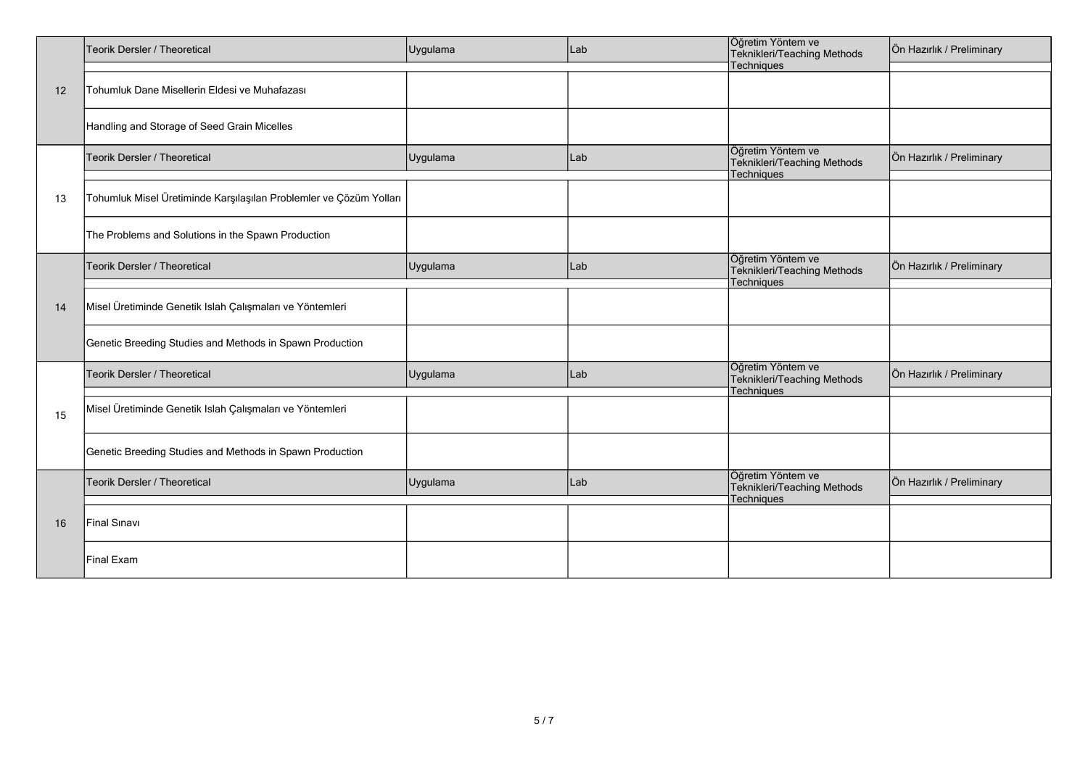|    | Teorik Dersler / Theoretical                                       | Uygulama | Lab | Öğretim Yöntem ve<br>Teknikleri/Teaching Methods                      | Ön Hazırlık / Preliminary |
|----|--------------------------------------------------------------------|----------|-----|-----------------------------------------------------------------------|---------------------------|
| 12 | Tohumluk Dane Misellerin Eldesi ve Muhafazası                      |          |     | Techniques                                                            |                           |
|    | Handling and Storage of Seed Grain Micelles                        |          |     |                                                                       |                           |
|    | Teorik Dersler / Theoretical                                       | Uygulama | Lab | Öğretim Yöntem ve<br>Teknikleri/Teaching Methods<br>Techniques        | Ön Hazırlık / Preliminary |
| 13 | Tohumluk Misel Üretiminde Karşılaşılan Problemler ve Çözüm Yolları |          |     |                                                                       |                           |
|    | The Problems and Solutions in the Spawn Production                 |          |     |                                                                       |                           |
| 14 | Teorik Dersler / Theoretical                                       | Uygulama | Lab | Öğretim Yöntem ve<br>Teknikleri/Teaching Methods<br><b>Techniques</b> | Ön Hazırlık / Preliminary |
|    | Misel Üretiminde Genetik Islah Çalışmaları ve Yöntemleri           |          |     |                                                                       |                           |
|    | Genetic Breeding Studies and Methods in Spawn Production           |          |     |                                                                       |                           |
|    | Teorik Dersler / Theoretical                                       | Uygulama | Lab | Öğretim Yöntem ve<br>Teknikleri/Teaching Methods<br>Techniques        | Ön Hazırlık / Preliminary |
| 15 | Misel Üretiminde Genetik Islah Çalışmaları ve Yöntemleri           |          |     |                                                                       |                           |
|    | Genetic Breeding Studies and Methods in Spawn Production           |          |     |                                                                       |                           |
| 16 | Teorik Dersler / Theoretical                                       | Uygulama | Lab | Öğretim Yöntem ve<br>Teknikleri/Teaching Methods<br>Techniques        | Ön Hazırlık / Preliminary |
|    | Final Sinavi                                                       |          |     |                                                                       |                           |
|    | Final Exam                                                         |          |     |                                                                       |                           |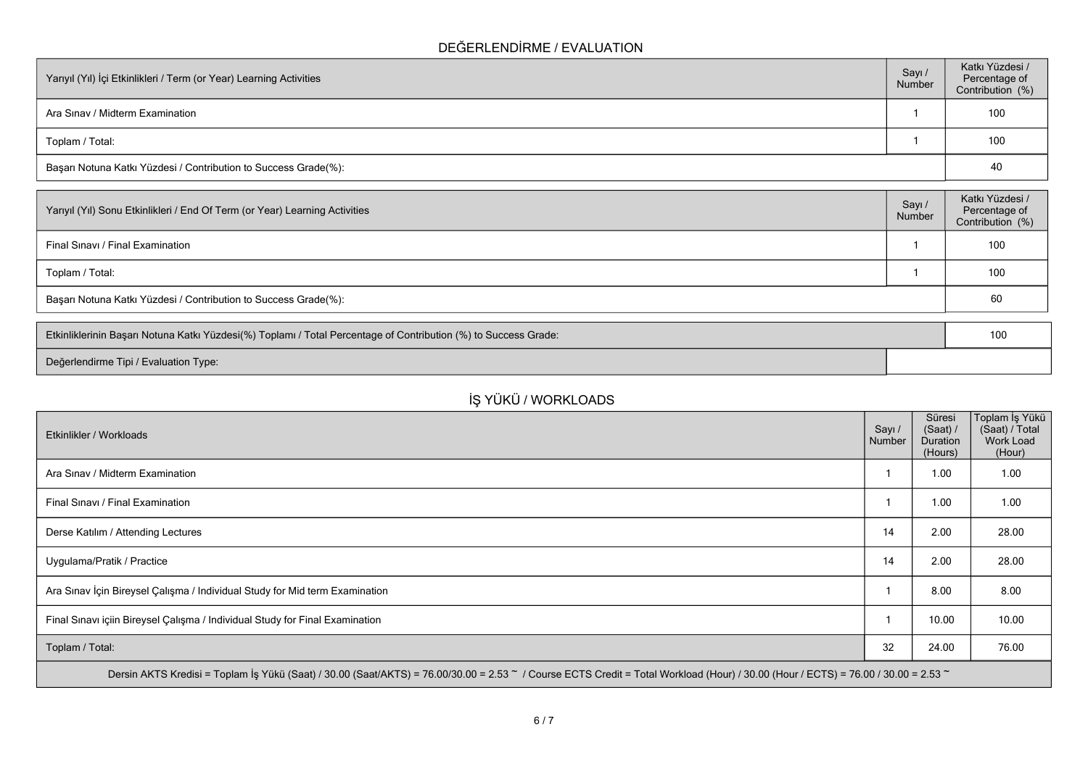### **DEĞERLENDİRME / EVALUATION**

| Yarıyıl (Yıl) İçi Etkinlikleri / Term (or Year) Learning Activities | Sayı /<br>Number | Katkı Yüzdesi /<br>Percentage of<br>Contribution (%) |  |  |
|---------------------------------------------------------------------|------------------|------------------------------------------------------|--|--|
| Ara Sinav / Midterm Examination                                     |                  | 100                                                  |  |  |
| Toplam / Total:                                                     |                  | 100                                                  |  |  |
| Başarı Notuna Katkı Yüzdesi / Contribution to Success Grade(%):     |                  |                                                      |  |  |

| Percentage of<br>Contribution (%) |
|-----------------------------------|
| 100                               |
| 100                               |
| 60                                |
|                                   |

| Etkinliklerinin Başarı Notuna Katkı Yüzdesi(%) Toplamı / Total Percentage of Contribution (%) to Success Grade: |  | 10 |
|-----------------------------------------------------------------------------------------------------------------|--|----|
| Değerlendirme Tipi / Evaluation Type:                                                                           |  |    |

# **İŞ YÜKÜ / WORKLOADS**

| Etkinlikler / Workloads                                                                                                                                                            | Sayı /<br>Number | Süresi<br>(Saat) /<br><b>Duration</b><br>(Hours) | Toplam İş Yükü<br>(Saat) / Total<br>Work Load<br>(Hour) |  |  |  |
|------------------------------------------------------------------------------------------------------------------------------------------------------------------------------------|------------------|--------------------------------------------------|---------------------------------------------------------|--|--|--|
| Ara Sinav / Midterm Examination                                                                                                                                                    |                  | 1.00                                             | 1.00                                                    |  |  |  |
| Final Sinavi / Final Examination                                                                                                                                                   |                  | 1.00                                             | 1.00                                                    |  |  |  |
| Derse Katılım / Attending Lectures                                                                                                                                                 | 14               | 2.00                                             | 28.00                                                   |  |  |  |
| Uygulama/Pratik / Practice                                                                                                                                                         | 14               | 2.00                                             | 28.00                                                   |  |  |  |
| Ara Sınav İçin Bireysel Çalışma / Individual Study for Mid term Examination                                                                                                        |                  | 8.00                                             | 8.00                                                    |  |  |  |
| Final Sınavı içiin Bireysel Çalışma / Individual Study for Final Examination                                                                                                       |                  | 10.00                                            | 10.00                                                   |  |  |  |
| Toplam / Total:                                                                                                                                                                    | 32               | 24.00                                            | 76.00                                                   |  |  |  |
| Dersin AKTS Kredisi = Toplam İş Yükü (Saat) / 30.00 (Saat/AKTS) = 76.00/30.00 = 2.53 ~ / Course ECTS Credit = Total Workload (Hour) / 30.00 (Hour / ECTS) = 76.00 / 30.00 = 2.53 ~ |                  |                                                  |                                                         |  |  |  |